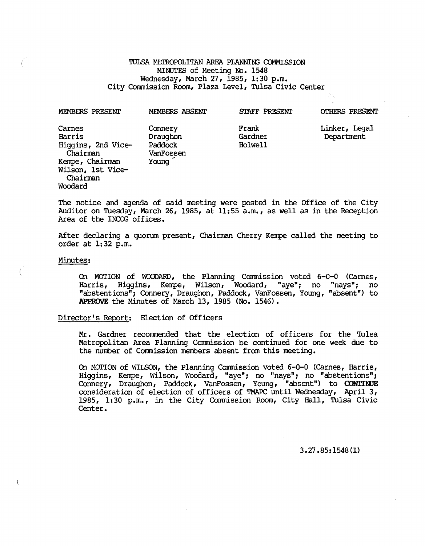TULSA METROPOLITAN AREA PLANNING COMMISSION MINUTES of Meeting No. 1548 Wednesday, March 27, 1985, 1:30 p.m. City Commission Room, Plaza Level, Tulsa Civic Center

| MEMBERS PRESENT                                                                                                   | MEMBERS ABSENT                                       | STAFF PRESENT               | <b>OTHERS PRESENT</b>       |
|-------------------------------------------------------------------------------------------------------------------|------------------------------------------------------|-----------------------------|-----------------------------|
| Carnes<br>Harris<br>Higgins, 2nd Vice-<br>Chairman<br>Kempe, Chairman<br>Wilson, 1st Vice-<br>Chairman<br>Woodard | Connery<br>Draughon<br>Paddock<br>VanFossen<br>Young | Frank<br>Gardner<br>Holwell | Linker, Legal<br>Department |

The notice and agenda of said meeting were posted in the Office of the City Auditor on Tuesday, March 26, 1985, at 11:55 a.m., as well as in the Reception Area of the INCOG offices.

After declaring a quorum present, Chairman Cherry Kempe called the meeting to order at 1:32 p.m.

#### Minutes:

On MOrION of WCXDARD, the Planning Commission voted 6-0-0 (carnes, Harris, Higgins, Kerrpe, Wilson, Woodard, "aye"; no "nays"; no "abstentions"; Connery, Draughon, Paddock, VanFossen, Young, "absent") to APPROVE the Minutes of March 13, 1985 (No. 1546).

# Director's Report: Election of Officers

Mr. Gardner recomnended that the election of officers for the Tulsa Metropolitan Area Planning Commission be continued for one week due to the number of Commission members absent from this meeting.

On MOrION of WILSON, the Planning Commission voted 6-0-0 (carnes, Harris, Higgins, Kempe, Wilson, Woodard, "aye"; no "nays"; no "abstentions"; Connery, Draughon, Paddock, VanFossen, Young, "absent") to **CONl'IWE**  consideration of election of officers of TMAPC until Wednesday, April 3, 1985, 1:30 p.m., in the City Commission Room, City Hall, Tulsa Civic Center.

3.27.85: 1548 (1)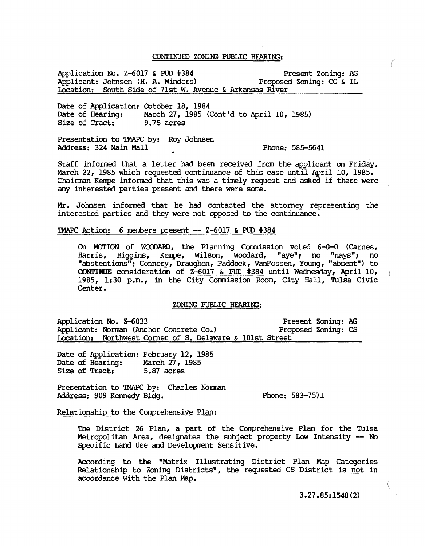#### CONTINUED ZONING PUBLIC HEARING:

Application No. Z-6017 & PUD #384 Present Zoning: AG<br>Applicant: Johnsen (H. A. Winders) Proposed Zoning: CG & IL Applicant: Johnsen (H. A. Winders) Location: South Side of 7lst W. Avenue & Arkansas River

Date of Application: October 18, 1984<br>Date of Hearing: March 27, 1985 ( March 27, 1985 (Cont'd to April 10, 1985)<br>9.75 acres Size of Tract:

Presentation to TMAPC by: Roy Johnsen Address: 324 Main Mall Phone: 585-5641

Staff informed that a letter had been received from the applicant on Friday, March 22, 1985 which requested continuance of this case until April 10, 1985. Chairman Kempe informed that this was a timely request and asked if there were any interested parties present and there were some.

Mr. Johnsen informed that he had contacted the attorney representing the interested parties and they were not opposed to the continuance.

'IMAPC Action: 6 members present -- Z-60l7 & PUD #384

On MOTION of WOODARD, the Planning Commission voted 6-0-0 (Carnes, Harris, Higgins, Kempe, Wilson, Woodard, "aye"; no "nays"; no "abstentions"; Connery, Draughon, Paddock, VanFossen, Young, "absent") to **CONTINUE** consideration of Z-6017 & PUD #384 until Wednesday, April 10, 1985, 1:30 p.m., in the City Commission Room, City Hall, Tulsa Civic Center.

# ZONIN3 PUBLIC HFARIN3:

Application No. Z-6033 Present Zoning: AG Applicant: Norman (Anchor Concrete Co.) Proposed Zoning: CS Location: Northwest Corner of S. Delaware & 101st Street

Date of Application: February 12, 1985<br>Date of Hearing: March 27, 1985 Date of Hearing: Size of Tract: 5.87 acres

Presentation to 'IMAPC by: Charles Norman Address: 909 Kennedy Bldg.

Phone: 583-7571

Relationship to the Comprehensive Plan:

The District 26 Plan, a part of the Comprehensive Plan for the Tulsa Metropolitan Area, designates the subject property Low Intensity -- No specific Land Use and Development Sensitive.

According to the "Matrix Illustrating District Plan Map Categories Relationship to Zoning Districts", the requested CS District is not in accordance with the Plan Map.

3.27.85:1548(2)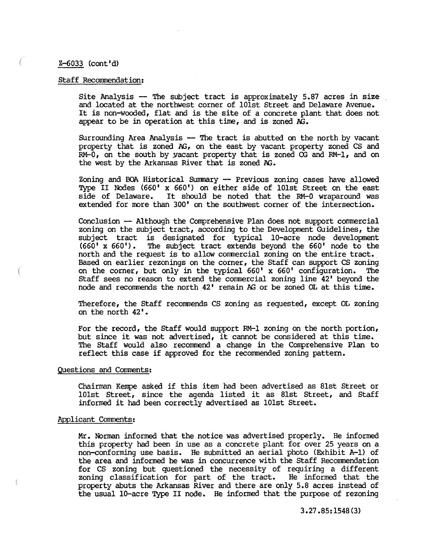# Z-6033 (cont'd)

# Staff Recommendation:

Site Analysis  $-$  The subject tract is approximately 5.87 acres in size and located at the northwest corner of 10lst Street and Delaware Avenue. It is non-wooded, flat and is the site of a concrete plant that does not appear to be in operation at this time, and is zoned  $AG$ .

Surrounding Area Analysis  $-$  The tract is abutted on the north by vacant property that is zoned AG, on the east by vacant property zoned CS and  $RM-0$ , on the south by yacant property that is zoned  $CG$  and  $RM-1$ , and on the west by the Arkansas River that is zoned AG.

Zoning and BOA Historical Summary -- Previous zoning cases have allowed Type II NOdes (660' x 660') on either side of 10lst Street on the east side of Delaware. It should be noted that the RM-0 wraparound was extended for more than 300' on the southwest corner of the intersection.

Conclusion - Although the Comprehensive Plan does not support commercial zoning on the subject tract, according to the Development Guidelines, the subject tract is designated for typical 10-acre node development (660' x 660'). The subject tract extends beyond the 660' node to the north and the request is to allow commercial zoning on the entire tract. Based on earlier rezonings on the corner, the Staff can support CS zoning on the corner, but only in the typical  $660'$  x  $660'$  configuration. The on the corner, but only in the typical  $660'$  x  $660'$  configuration. staff sees no reason to extend the commercial zoning line 42' beyond the node and recommends the north 42' remain AG or be zoned OL at this time.

Therefore, the Staff recommends CS zoning as requested, except OL zoning on the north 42'.

For the record, the Staff would support RM-1 zoning on the north portion, but since it was not advertised, it cannot be considered at this time. The Staff would also recommend a change in the Comprehensive Plan to reflect this case if approved for the recorrmended zoning pattern.

# Questions and Comments:

Chairman Kenpe asked if this item had been advertised as 8lst Street or 101st Street, since the agenda listed it as 8lst Street, and Staff informed it had been correctly advertised as 10lst Street.

# Applicant Comments:

Mr. Norman informed that the notice was advertised properly. He informed this property had been in use as a concrete plant for over 25 years on a non-conforrning use basis. He submitted an aerial photo (Exhibit A-I) of the area and informed he was in concurrence with the Staff Recommendation for CS zoning but questioned the necessity of requiring a different zoning classification for part of the tract. He informed that the property abuts the Arkansas River and there are only 5.8 acres instead of the usual 10-acre Type II node. He informed that the purpose of rezoning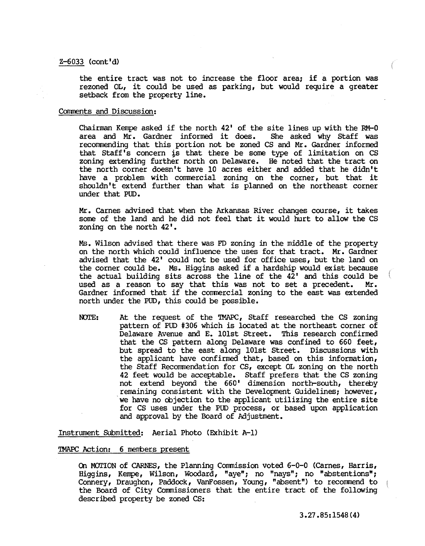# Z-6033 (cont'd)

the entire tract was not to increase the floor area; if a portion was rezoned OL, it could be used as parking, but would require a greater setback from the property line.

# Comments and Discussion:

Chairman Kempe asked if the north  $42'$  of the site lines up with the RM-0 area and Mr. Gardner informed it does. She asked why Staff was area and Mr. Gardner informed it does. recorrmending that this portion not be zoned CS and Mr. Gardner informed that Staff's concern is that there be some type of limitation on CS zoning extending further north on Delaware. He noted that the tract on the north corner doesn't have 10 acres either and added that he didn't have a problem with commercial zoning on the corner, but that it shouldn't extend further than what is planned on the northeast corner under that PUD.

Mr. carnes advised that when the Arkansas River changes course, it takes some of the land and he did not feel that it would hurt to allow the CS zoning on the north 42'.

Ms. Wilson advised that there was FD zoning in the middle of the property on the north which could influence the uses for that tract. Mr. Gardner advised that the 42' could not be used for office uses, but the land on the corner could be. Ms. Higgins asked if a hardship would exist because the actual building sits across the line of the  $42'$  and this could be used as a reason to say that this was not to set a precedent. Mr. used as a reason to say that this was not to set a precedent. Gardner informed that if the commercial zoning to the east was extended north under the PUD, this could be possible.

NOTE: At the request of the TMAPC, Staff researched the CS zoning pattern of PUD #306 which is located at the northeast corner of Delaware Avenue and E. 101st Street. This research confirmed that the CS pattern along Delaware was confined to 660 feet, but spread to the east along 101st Street. Discussions with the applicant have confirmed that, based on this information, the Staff Recornmendation for CS, except OL zoning on the north 42 feet would be acceptable. Staff prefers that the CS zoning not extend beyond the 660' dimension north-south, thereby remaining consistent with the Development Guidelines; however, 'we have no objection to the applicant utilizing the entire site for CS uses under the PUD process, or based upon application and approval by the Board of Adjustment.

Instrument Submitted: Aerial Photo (Exhibit A-l)

## TMAPC Action: 6 members present

On MOTION of CARNES, the Planning Commission voted  $6-0-0$  (Carnes, Harris, Higgins, Kempe, Wilson, Woodard, "aye"; no "nays"; no "abstentions"; Connery, Draughon, Paddock, VanFossen, Young, "absent") to recorrmend to the Board of City Commissioners that the entire tract of the following described property be zoned CS: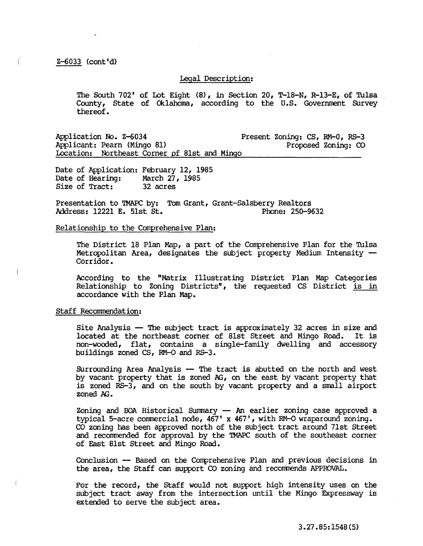## Legal Description:

The South 702' of Lot Eight  $(8)$ , in Section 20, T-18-N, R-13-E, of Tulsa County, State of Oklahoma, according to the U.S. Government Survey thereof.

Application No. Z-6034 Applicant: Pearn (Mingo 81> Present Zoning: CS, RM-O, RS-3 Proposed Zoning: CO Location: Northeast Corner of 8lst and Mingo

Date of Application: February 12, 1985 Date of Hearing: March 27, 1985<br>Size of Tract: 32 acres Size of Tract:

Presentation to TMAPC by: Tom Grant, Grant-Salsberry Realtors<br>Address: 12221 E. 51st St. Phone: 250-9632 Address: 12221 E. 51st St.

#### Relationship to the Comprehensive Plan:

The District 18 Plan Map, a part of the Comprehensive Plan for the Tulsa Metropolitan Area, designates the subject property Medium Intensity --<br>Corridor.

According to the "Matrix Illustrating District Plan Map Categories Relationship to Zoning Districts", the requested CS District is in accordance with the Plan Map.

## Staff Recommendation:

Site Analysis -- The subject tract is approximately 32 acres in size and<br>located at the northeast corner of 81st Street and Mingo Road. It is located at the northeast corner of 81st Street and Mingo Road. non-wooded, flat, contains a single-family dwelling and accessory buildings zoned CS, RM-O and RS-3.

Surrounding Area Analysis -- The tract is abutted on the north and west by vacant property that is zoned AG, on the east by vacant property that is zoned RS-3, and on the south by vacant property and a small airport zoned AG.

Zoning and BOA Historical Summary -- An earlier zoning case approved a typical 5-acre commercial node,  $467'$  x  $467'$ , with RM-O wraparound zoning. CO zoning has been approved north of the subject tract around 7lst Street and recommended for approval by the TMAPC south of the southeast corner of East 8lst Street and Mingo Road.

Conclusion -- Based on the Comprehensive Plan and previous decisions in the area, the Staff can support CO zoning and reconmends APPROVAL.

For the record, the Staff would not support high intensity uses on the subject tract away from the intersection until the Mingo Expressway is extended to serve the subject area.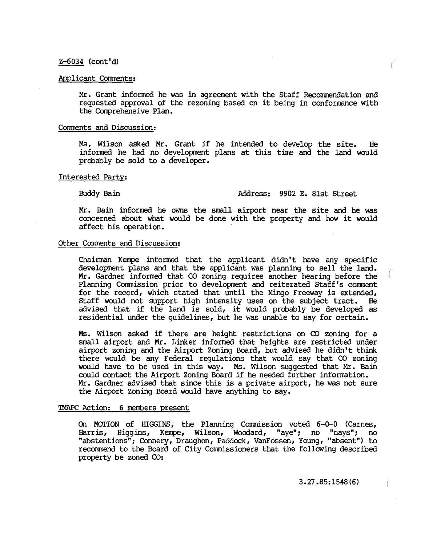## Z-6034 (cont'd)

# Applicant Comments:

Mr. Grant informed he was in agreement with the Staff Recommendation and requested approval of the rezoning based on it being in conformance with the Comprehensive Plan.

# Comments and Discussion:

Ms. Wilson asked Mr. Grant if he intended to develop the site. He informed he had no development plans at this time and the land would probably be sold to a developer.

#### Interested Party:

# BuddyBain Address: 9902 E. 8lst Street

Mr. Bain informed he owns the small airport near the site and he was concerned about what would be done with the property and how it would affect his operation.

# Other Comments and Discussion:

Chairman Kempe informed that the applicant didn't have any specific development plans and that the applicant was planning to sell the land. Mr. Gardner informed that CO zoning requires another hearing before the Planning Commission prior to development and reiterated Staff's comment for the record, which stated that until the Mingo Freeway is extended,<br>Staff would not support high intensity uses on the subject tract. He Staff would not support high intensity uses on the subject tract. advised that if the land is sold, it would probably be developed as residential under the guidelines, but he was unable to say for certain.

Ms. Wilson asked if there are height restrictions on CO zoning for a small airport and Mr. Linker informed that heights are restricted under airport zoning and the Airport Zoning Board, but advised he didn't think there would be any Federal regulations that would say that CO zoning would have to be used in this way. Ms. Wilson suggested that Mr. Bain could contact the Airport Zoning Board if he needed further information. Mr. Gardner advised that since this is a private airport, he was not sure the Airport Zoning Board would have anything to say.

#### 'IMAPC Action: 6 menbers present

On MOTION of HIGGINS, the Planning Commission voted 6-0-0 (Carnes, Harris, Higgins, Kerrpe, Wilson, Woodard, "aye"; no "nays"; no "abstentions"; Connery, Draughon, Paddock, Vanfossen, Young, "absent") to recommend to the Board of City Commissioners that the following described property be zoned CO:

3.27.85:1548(6)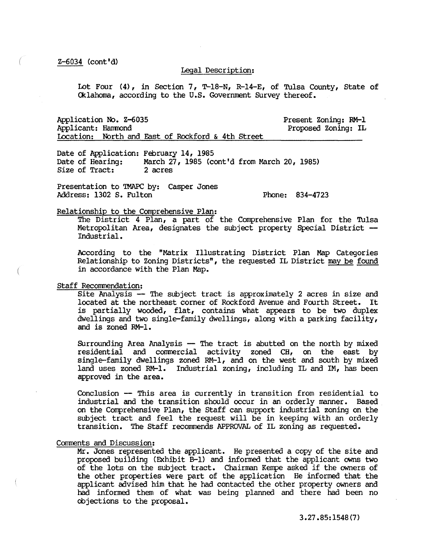Z-6034 (cont'd)

#### Legal Description:

Lot Four (4), in Section 7, T-18-N, R-14-E, of Tulsa County, State of Oklahoma, according to the U.S. Government Survey thereof.

Application No. Z-6035 Applicant: Hanmond Present Zoning: RM-I Proposed Zoning: IL Location: North and East of Rockford & 4th Street

Date of Application: February 14, 1985<br>Date of Hearing: March 27, 1985 (co March 27, 1985 (cont'd from March 20, 1985)<br>2 acres Size of Tract:

Presentation to TMAPC by: casper Jones Address: 1302 S. Fulton

Phone: 834-4723

## Relationship to the Comprehensive Plan:

The District 4 Plan, a part of the Conprehensive Plan for the Tulsa Metropolitan Area, designates the subject property Special District -- Industrial.

According to the "Matrix Illustrating District Plan Map Categories Relationship to Zoning Districts", the requested IL District may be found in accordance with the Plan Map.

#### Staff Recommendation:

Site Analysis -- The subject tract is approximately 2 acres in size and located at the northeast corner of Rockford Avenue and Fourth Street. It is partially wooded, flat, contains what appears to be two duplex dwellings and two single-family dwellings, along with a parking facility, and is zoned RM-l.

Surrounding Area Analysis -- The tract is abutted on the north by mixed residential and commercial activity zoned CH, on the east by single-family dwellings zoned RM-l, and on the west and south by mixed land uses zoned RM-l. Industrial zoning, including IL and IM, has been approved in the area.

Conclusion -- This area is currently in transition from residential to industrial and the transition should occur in an orderly manner. Based on the Comprehensive Plan, the Staff can support industrial zoning on the subject tract and feel the request will be in keeping with an orderly transition. The Staff recommends APPROVAL of IL zoning as requested.

#### Comments and Discussion:

Mr. Jones represented the applicant. He presented a copy of the site and proposed building (Exhibit B-l) and informed that the applicant owns two of the lots on the subject tract. Chairman Kenpe asked if the owners of the other properties were part of the application He informed that the applicant advised him that he had contacted the other property owners and had informed them of what was being planned and there had been no objections to the proposal.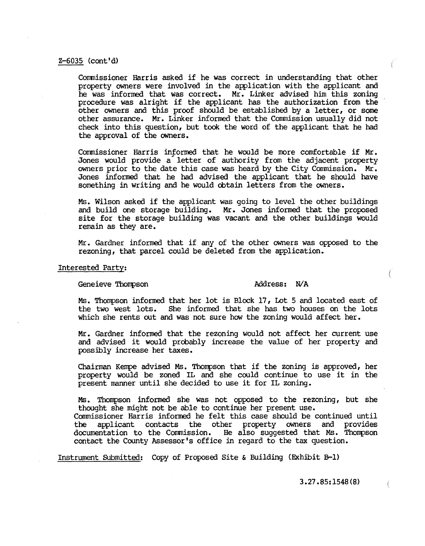# Z-6035 (cont'd)

Commissioner Harris asked if he was correct in understanding that other property owners were involved in the application with the applicant and he was informed that was correct. Mr. Linker advised him this zoning procedure was alright if the applicant has the authorization from the other owners and this proof should be established by a letter, or same other assurance. Mr. Linker informed that the Commission usually did not check into this question, but took the word of the applicant that he had the approval of the owners.

Commissioner Harris informed that he would be more comfortable if Mr. Jones would provide a' letter of authority from the adjacent property owners prior to the date this case was heard by the City Commission. Mr. Jones informed that he had advised the applicant that he should have something in writing and he would obtain letters from the owners.

Ms. Wilson asked if the applicant was going to level the other buildings and build one storage building. Mr. Jones informed that the proposed site for the storage building was vacant and the other buildings would remain as they are.

Mr. Gardner informed that if any of the other owners was opposed to the rezoning, that parcel could be deleted from the application.

### Interested Party:

Geneieve Thompson Address: N/A

Ms. Thonpson informed that her lot is Block 17, Lot 5 and located east of the two west lots. She informed that she has two houses on the lots which she rents out and was not sure how the zoning would affect her.

Mr. Gardner informed that the rezoning would not affect her current use and advised it would probably increase the value of her property and possibly increase her taxes.

Chairman Kenpe advised Ms. Thompson that if the zoning is approved, her property would be zoned IL and she could continue to use it in the present manner until she decided to use it for IL zoning.

Ms. Thompson informed she was not opposed to the rezoning, but she thought she might not be able to continue her present use. Commissioner Harris informed he felt this case should be continued until the applicant contacts the other property owners and provides documentation to the Commission. He also suggested that Ms. Thompson

Instrument SUbmitted: Copy of Proposed Site & Building (Exhibit B-1)

contact the County Assessor's office in regard to the tax question.

3.27.85:1548(8)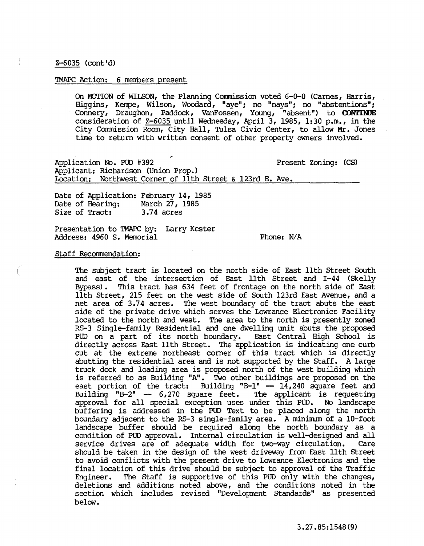Z-6035 (cont'd)

# TMAPC Action: 6 members present

On MOTION of WILSON, the Planning Commission voted 6-0-0 (Carnes, Harris, Higgins, Kempe, Wilson, Woodard, "aye"; no "nays"; no "abstentions"; Connery, Draughon, Paddock, VanFossen, Young, "absent") to **CONl'INJE**  consideration of  $Z-6035$  until Wednesday, April 3, 1985, 1:30 p.m., in the City Commission Room, City Hall, Tulsa Civic Center, to allow Mr. Jones time to return with written consent of other property owners involved.

Application No. PUD #392 Present Zoning: (CS) Applicant: Richardson (Union Prop.) Location: Northwest Corner of 11th Street & l23rd E. Ave.

Date of Application: February 14, 1985<br>Date of Hearing: March 27, 1985 Date of Hearing: March 27, 1<br>Size of Tract: 3.74 acres Size of Tract:

Presentation to TMAPC by: Larry Kester Address: 4960 S. Memorial

Phone: N/A

#### Staff Recommendation:

The subject tract is located on the north side of East 11th Street South and east of the intersection of East 11th Street and 1-44 (Skelly Bypass). This tract has 634 feet of frontage on the north side of East 11th Street, 215 feet on the west side of South l23rd East Avenue, and a net area of 3.74 acres. The west boundary of the tract abuts the east side of the private drive which serves the Lowrance Electronics Facility located to the north and west. The area to the north is presently zoned RS-3 Single-family Residential and one dwelling unit abuts the proposed PUD on a part of its north boundary. East Central High School is directly across East 11th Street. The application is indicating one curb cut at the extreme northeast corner of this tract which is directly abutting the residential area and is not supported by the Staff. A large truck dock and loading area is proposed north of the west building which is referred to as Building "A". Two other buildings are proposed on the east portion of the tract: Building  $-B-1$ " --  $14,240$  square feet and Building "B-2" --  $6,270$  square feet. The applicant is requesting Building "B-2"  $- 6,270$  square feet. approval for all special exception uses under this PUD. No landscape buffering is addressed in the PUD Text to be placed along the north boundary adjacent to the  $RS-3$  single-family area. A minimum of a  $10$ -foot landscape buffer should be required along the north boundary as a condition of PUD approval. Internal circulation is well-designed and all service drives are of adequate width for two-way circulation. should be taken in the design of the west driveway from East 11th Street to avoid conflicts with the present drive to Lowrance Electronics and the final location of this drive should be subject to approval of the Traffic Engineer. The Staff is supportive of this PUD only with the changes, deletions and additions noted above, and the conditions noted in the section which includes revised "Development Standards" as presented below.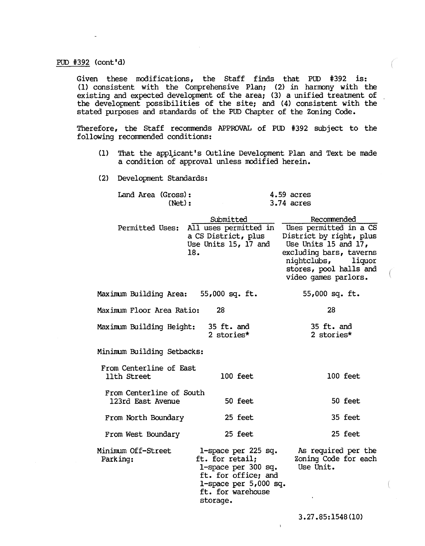# PUD #392 (cont'd)

Given these modifications, the Staff finds that PUD #392 is: (1) consistent with the Comprehensive Plan; (2) in harrony with the existing and expected development of the area; (3) a unified treatment of the development possibilities of the site; and (4) consistent with the stated purposes and standards of the PUD Chapter of the Zoning Code.

Therefore, the Staff recommends APPROVAL of PUD #392 subject to the following recommended conditions:

- (1) That the applicant's Outline Development Plan and Text be made a condition of approval unless modified herein.
- (2) Development Standards:

|  | Land Area (Gross): | $4.59$ acres |
|--|--------------------|--------------|
|  | (Net):             | $3.74$ acres |

|                                               | Submitted                                                                                                                                        | Recommended                                                                                                                                                                                        |
|-----------------------------------------------|--------------------------------------------------------------------------------------------------------------------------------------------------|----------------------------------------------------------------------------------------------------------------------------------------------------------------------------------------------------|
| Permitted Uses:                               | a CS District, plus<br>Use Units 15, 17 and<br>18.                                                                                               | All uses permitted in Uses permitted in a CS<br>District by right, plus<br>Use Units 15 and 17,<br>excluding bars, taverns<br>nightclubs, liquor<br>stores, pool halls and<br>video games parlors. |
| Maximum Building Area: 55,000 sq. ft.         |                                                                                                                                                  | $55,000$ sq. ft.                                                                                                                                                                                   |
| Maximum Floor Area Ratio:                     | 28                                                                                                                                               | 28                                                                                                                                                                                                 |
| Maximum Building Height:                      | 35 ft. and<br>2 stories*                                                                                                                         | 35 ft. and<br>2 stories*                                                                                                                                                                           |
| Minimum Building Setbacks:                    |                                                                                                                                                  |                                                                                                                                                                                                    |
| From Centerline of East<br>11th Street        | 100 feet                                                                                                                                         | 100 feet                                                                                                                                                                                           |
| From Centerline of South<br>123rd East Avenue | 50 feet                                                                                                                                          | 50 feet                                                                                                                                                                                            |
| From North Boundary                           | 25 feet                                                                                                                                          | 35 feet                                                                                                                                                                                            |
| From West Boundary                            | 25 feet                                                                                                                                          | 25 feet                                                                                                                                                                                            |
| Minimum Off-Street<br>Parking:                | 1-space per 225 sq.<br>ft. for retail;<br>1-space per 300 sq.<br>ft. for office; and<br>1-space per $5,000$ sq.<br>ft. for warehouse<br>storage. | As required per the<br>Zoning Code for each<br>Use Unit.                                                                                                                                           |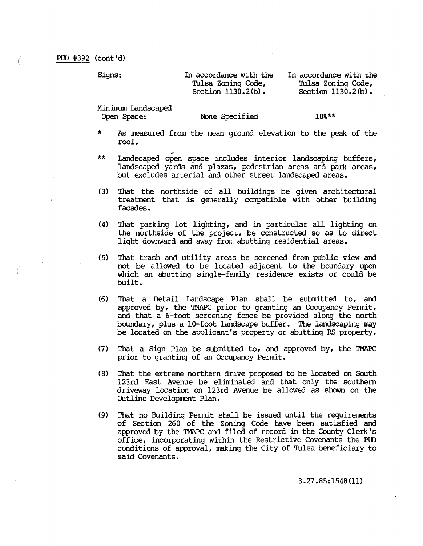Signs: In accordance with the 'fulsa Zoning Code, Section  $1130.2(b)$ .

In accordance with the 'fulsa Zoning Code, Section  $1130.2(b)$ .

Mininurn Landscaped

Open Space: None Specified

10%\*\*

- \* As measured from the mean ground elevation to the peak of the roof.
- \*\* Landscaped open space includes interior landscaping buffers, landscaped yards and plazas, pedestrian areas and park areas, but excludes arterial and other street landscaped areas.
- (3) That the northside of all buildings be given architectural treatment that is generally compatible with other building facades.
- (4) That parking lot lighting, and in particular all lighting on the northside of the project, be constructed so as to direct light downward and away from abutting residential areas.
- (5) That trash and utility areas be screened from public view and not be allowed to be located adjacent to the boundary upon which an abutting single-family residence exists or could be built.
- (6) That a Detail Landscape Plan shall be submitted to, and approved by, the TMAPC prior to granting an Occupancy Permit, and that a 6-foot screening fence be provided along the north boundary, plus a 10-foot landscape buffer. The landscaping may be located on the applicant's property or abutting RS property.
- (7) That a Sign Plan be submitted to, and approved by, the TMAPC prior to granting of an Occupancy Permit.
- (8) That the extreme northern drive proposed to be located on South 123rd East Avenue be eliminated and that only the southern driveway location on l23rd Avenue be allowed as shown on the Outline Development Plan.
- (9) That no Building Permit shall be issued until the requirements of Section 260 of the Zoning Code have been satisfied and approved by the TMAPC and filed of record in the County Clerk's office, incorporating within the Restrictive Covenants the PUD conditions of approval, making the City of 'fulsa beneficiary to said Covenants.

3.27.85:1548(11)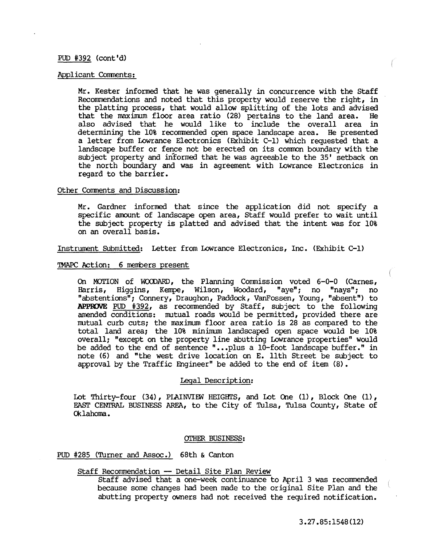# pun #392 (cont'd)

### Applicant Comments:

Mr. Kester informed that he was generally in concurrence with the Staff Recommendations and noted that this property would reserve the right, in the platting process, that would allow splitting of the lots and advised that the maximum floor area ratio (28) pertains to the land area. He also advised that he would like to include the overall area in determining the 10% recommended open space landscape area. He presented a letter from Lowrance Electronics (Exhibit C-1) which requested that a landscape buffer or fence not be erected on its common boundary with the subject property and informed that he was agreeable to the 35' setback on the north boundary and was in agreement with Lowrance Electronics in regard to the barrier.

# Other Comments and Discussion:

Mr. Gardner informed that since the application did not specify a specific amount of landscape open area, Staff would prefer to wait until the subject property is platted and advised that the intent was for 10% on an overall basis.

Instrument Submitted: Letter from Lowrance Electronics, Inc. (Exhibit C-l)

# TMAPC Action: 6 members present

On MOTION of WOODARD, the Planning Commission voted 6-0-0 (Carnes, Harris, Higgins, Kenpe, Wilson, Woodard, "aye"; no "nays"; no "abstentions"; Connery, Draughon, Paddock, Vanfossen, Young, "absent") to APPROVE Pun #392, as recorrmended by Staff, subject to the following amended conditions: mutual roads would be permitted, provided there are mutual curb cuts; the maximum floor area ratio is 28 as compared to the total land area; the 10% minimum landscaped open space would be 10% overall; "except on the property line abutting Lowrance properties" would be added to the end of sentence "...plus a 10-foot landscape buffer." in note (6) and "the west drive location on E. 11th Street be subject to approval by the Traffic Engineer" be added to the end of item (8).

## Legal Description:

Lot Thirty-four  $(34)$ , PIAINVIEW HEIGHTS, and Lot One  $(1)$ , Block One  $(1)$ , EAST CENTRAL BUSINESS AREA, to the City of Tulsa, Tulsa County, State of Cklahoma.

#### OTHER BUSINESS:

# Pun #285 (Turner and Assoc.) 68th & Canton

# Staff Recommendation -- Detail Site Plan Review

Staff advised that a one-week continuance to April 3 was recommended because some changes had been made to the original Site Plan and the abutting property owners had not received the required notification.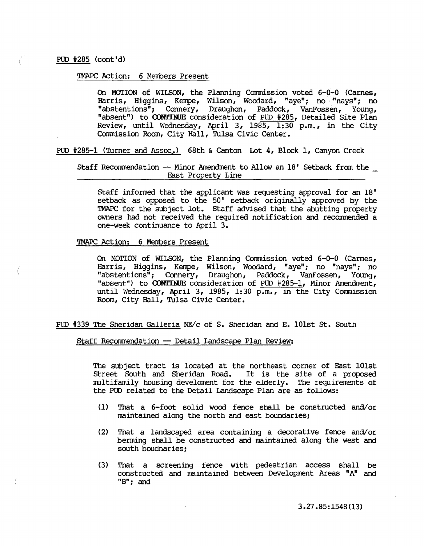# TMAPC Action: 6 Members Present

On MOrION of WILSON, the Planning Commission voted 6-0-0 (Carnes, Harris, Higgins, Kempe, Wilson, Woodard, "aye"; no "nays"; no "abstentions"; Connery, Draughon, Paddock, VanFossen, Young, "absent") to CONTINUE consideration of PUD #285, Detailed Site Plan Review, until Wednesday, April 3, 1985, 1:30 p.m., in the City Commission Room, City Hall, 'fulsa Civic Center.

PUD #285-1 (Turner and Assoc) 68th & Canton Lot 4, Block 1, Canyon Creek

Staff Recommendation -- Minor Amendment to Allow an 18' Setback from the East Property Line

Staff informed that the applicant was requesting approval for an 18' setback as opposed to the 50' setback originally approved by the 'lMAPC for the subject lot. Staff advised that the abutting property owners had not received the required notification and recommended a one-week continuance to April 3.

TMAPC Action: 6 Members Present

On MOrION of WILSON, the Planning Commission voted 6-0-0 (Carnes, Harris, Higgins, Kempe, Wilson, Woodard, "aye"; no "nays"; no "abstentions"; Connery, Draughon, Paddock, VanFossen, Young, "absent") to CONTINUE consideration of PUD #285-1, Minor Amendment, until Wednesday, April 3, 1985, 1:30 p.m., in the City Commission Room, City Hall, 'fulsa Civic Center.

PUD #339 The Sheridan Galleria NE/c of S. Sheridan and E. 101st St. South

Staff Recommendation -- Detail Landscape Plan Review:

The subject tract is located at the northeast corner of East 101st Street South and Sheridan Road. It is the site of a proposed multifamily housing develornent for the elderly. The requirements of the POD related to the Detail Landscape Plan are as follows:

- (1) That a 6-foot solid wood fence shall be constructed and/or maintained along the north and east boundaries;
- (2) That a landscaped area containing a decorative fence and/or berrning shall be constructed and maintained along the west and south boudnaries;
- (3) That a screening fence with pedestrian access shall be constructed and maintained between Development Areas "A" and liB"; and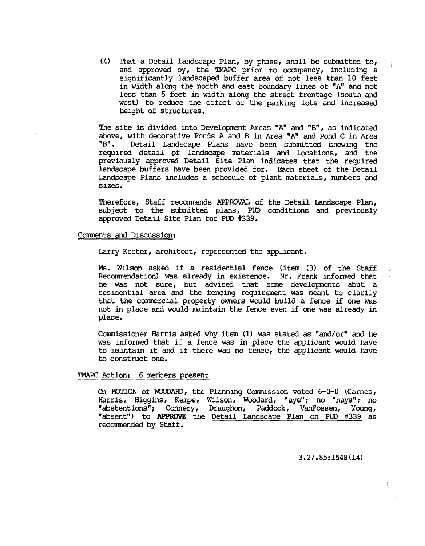(4) That a Detail Landscape Plan, by phase, shall be submitted to, and approved by, the 'IMAPC prior to occupancy, including a significantly landscaped buffer area of not less than 10 feet in width along the north and east boundary lines of "A" and not less than 5 feet in width along the street frontage (south and west) to reduce the effect of the parking lots and increased height of structures.

The site is divided into Development Areas "A" and "B", as indicated above, with decorative Ponds A and B in Area "A" and Pond C in Area<br>"B". Detail Landscape Plans have been submitted showing the Detail Landscape Plans have been submitted showing the required detail Of landscape materials and locations, and the previously approved Detail Site Plan indicates that the required landscape buffers have been provided for. Each sheet of the Detail Landscape Plans includes a schedule of plant materials, numbers and sizes.

Therefore, Staff recommends APPROVAL of the Detail Landscape Plan, subject to the submitted plans, PUD conditions and previously approved Detail Site Plan for PUD #339.

## Comments and D1scussion:

Larry Kester, architect, represented the applicant.

Ms. W1lson asked if a residential fence (item (3) of the Staff Recorrmendation) was already in existence. Mr. Frank informed that he was not sure, but advised that some developments abut a residential area and the fencing requirement was meant to clarify that the commercial property owners would build a fence if one was not in place and would maintain the fence even if one was already in place.

Commissioner Harris asked why item (1) was stated as "and/or" and he was informed that if a fence was in place the applicant would have to maintain it and if there was no fence, the applicant would have to construct one.

#### TMAPC Action: 6 members present

On MOTION of WOODARD, the Planning Commission voted 6-0-0 (Carnes, Harris, HigginS, Kenpe, Wilson, Woodard, "aye"; no "nays"; no "abstentions"; Connery, Draughon, Paddock, VanFossen, Young, "absent") to APPROVE the Detail Landscape Plan on PUD #339 as recommended by Staff.

3.27.85:1548(14)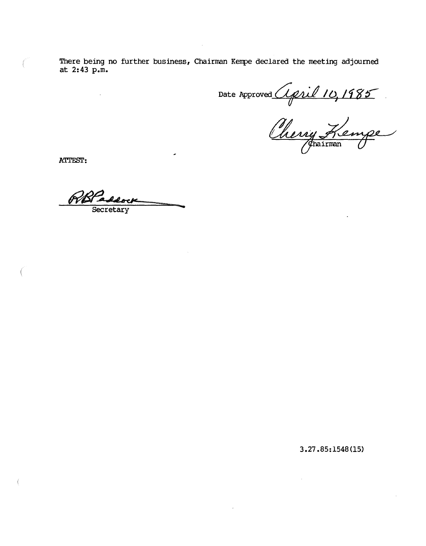**There being no further business, Chairman Kempe declared the meeting adjourned at 2:43 p.m.** 

Date Approved April 10, 1985

ATTEST:

.......

**3.27.85:1548(15)**